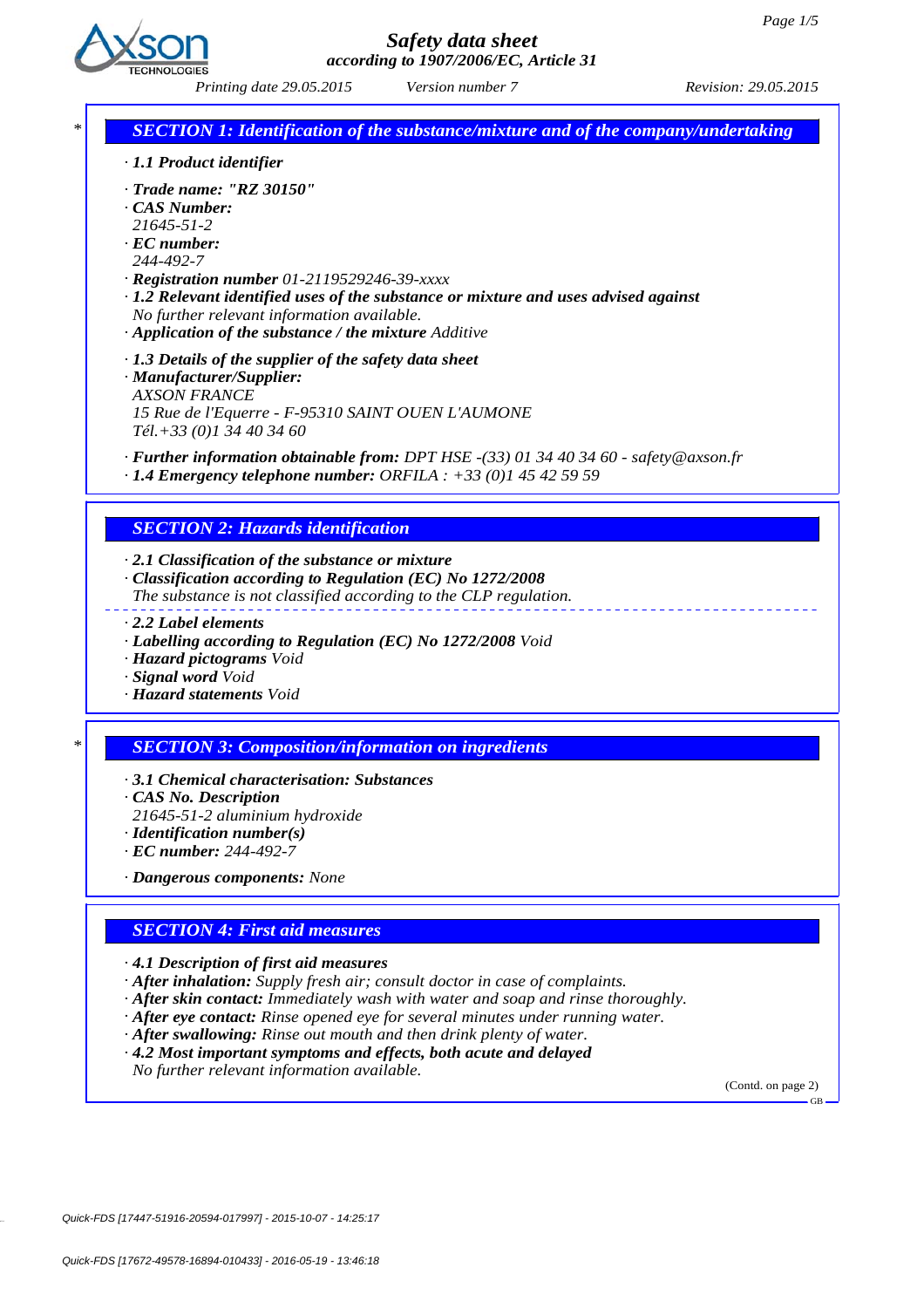

 *Printing date 29.05.2015 Revision: 29.05.2015 Version number 7*

*\* SECTION 1: Identification of the substance/mixture and of the company/undertaking*

- *· 1.1 Product identifier*
- *· Trade name: "RZ 30150"*
- *· CAS Number:*
- *21645-51-2*
- *· EC number:*
- *244-492-7*
- *· Registration number 01-2119529246-39-xxxx*
- *· 1.2 Relevant identified uses of the substance or mixture and uses advised against No further relevant information available.*
- *· Application of the substance / the mixture Additive*
- *· 1.3 Details of the supplier of the safety data sheet*
- *· Manufacturer/Supplier: AXSON FRANCE 15 Rue de l'Equerre - F-95310 SAINT OUEN L'AUMONE Tél.+33 (0)1 34 40 34 60*

*· Further information obtainable from: DPT HSE -(33) 01 34 40 34 60 - safety@axson.fr*

*· 1.4 Emergency telephone number: ORFILA : +33 (0)1 45 42 59 59*

#### *SECTION 2: Hazards identification*

*· 2.1 Classification of the substance or mixture*

- *· Classification according to Regulation (EC) No 1272/2008*
- *The substance is not classified according to the CLP regulation.*
- *· 2.2 Label elements*
- *· Labelling according to Regulation (EC) No 1272/2008 Void*
- *· Hazard pictograms Void*
- *· Signal word Void*
- *· Hazard statements Void*

#### *\* SECTION 3: Composition/information on ingredients*

- *· 3.1 Chemical characterisation: Substances*
- *· CAS No. Description*
- *21645-51-2 aluminium hydroxide*
- *· Identification number(s)*
- *· EC number: 244-492-7*

*· Dangerous components: None*

### *SECTION 4: First aid measures*

*· 4.1 Description of first aid measures*

- *· After inhalation: Supply fresh air; consult doctor in case of complaints.*
- *· After skin contact: Immediately wash with water and soap and rinse thoroughly.*
- *· After eye contact: Rinse opened eye for several minutes under running water.*
- *· After swallowing: Rinse out mouth and then drink plenty of water.*
- *· 4.2 Most important symptoms and effects, both acute and delayed*

*No further relevant information available.*

(Contd. on page 2)

GB

Quick-FDS [17447-51916-20594-017997] - 2015-10-07 - 14:25:17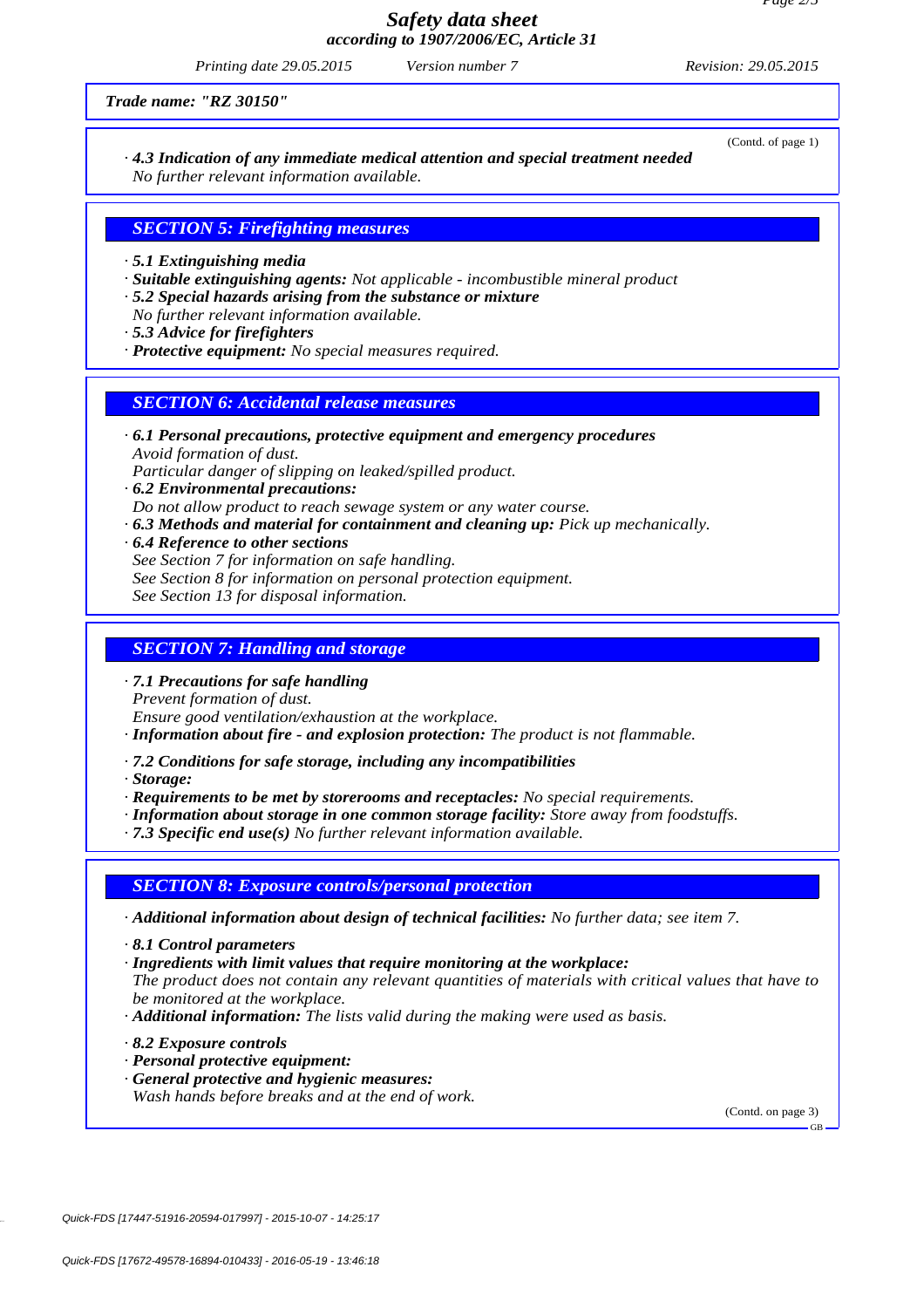### *Safety data sheet according to 1907/2006/EC, Article 31*

 *Printing date 29.05.2015 Revision: 29.05.2015 Version number 7*

*Trade name: "RZ 30150"*

*· 4.3 Indication of any immediate medical attention and special treatment needed No further relevant information available.*

### *SECTION 5: Firefighting measures*

*· 5.1 Extinguishing media*

*· Suitable extinguishing agents: Not applicable - incombustible mineral product*

*· 5.2 Special hazards arising from the substance or mixture*

*No further relevant information available.*

- *· 5.3 Advice for firefighters*
- *· Protective equipment: No special measures required.*

### *SECTION 6: Accidental release measures*

*· 6.1 Personal precautions, protective equipment and emergency procedures Avoid formation of dust.*

*Particular danger of slipping on leaked/spilled product.*

- *· 6.2 Environmental precautions:*
- *Do not allow product to reach sewage system or any water course.*
- *· 6.3 Methods and material for containment and cleaning up: Pick up mechanically.*
- *· 6.4 Reference to other sections*
	- *See Section 7 for information on safe handling.*
	- *See Section 8 for information on personal protection equipment.*
	- *See Section 13 for disposal information.*

# *SECTION 7: Handling and storage*

*· 7.1 Precautions for safe handling*

*Prevent formation of dust.*

*Ensure good ventilation/exhaustion at the workplace.*

- *· Information about fire and explosion protection: The product is not flammable.*
- *· 7.2 Conditions for safe storage, including any incompatibilities*

*· Storage:*

*· Requirements to be met by storerooms and receptacles: No special requirements.*

*· Information about storage in one common storage facility: Store away from foodstuffs.*

*· 7.3 Specific end use(s) No further relevant information available.*

#### *SECTION 8: Exposure controls/personal protection*

*· Additional information about design of technical facilities: No further data; see item 7.*

*· 8.1 Control parameters*

*· Ingredients with limit values that require monitoring at the workplace:*

*The product does not contain any relevant quantities of materials with critical values that have to be monitored at the workplace.*

- *· Additional information: The lists valid during the making were used as basis.*
- *· 8.2 Exposure controls*
- *· Personal protective equipment:*
- *· General protective and hygienic measures:*
- *Wash hands before breaks and at the end of work.*

(Contd. on page 3)

GB

(Contd. of page 1)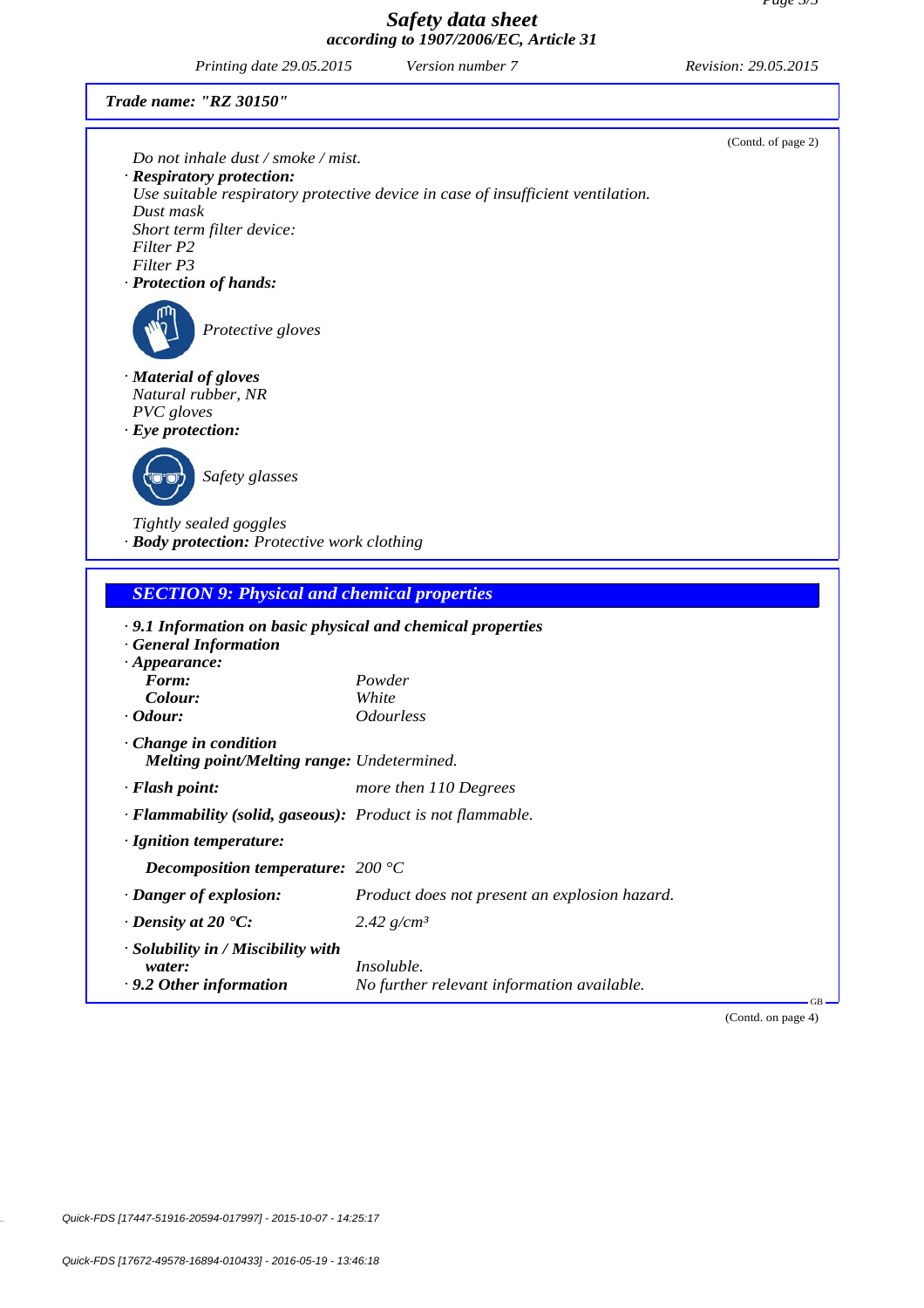# *Safety data sheet according to 1907/2006/EC, Article 31*

 *Printing date 29.05.2015 Revision: 29.05.2015 Version number 7*

(Contd. of page 2)

*Trade name: "RZ 30150"*

|                                                                                           | Do not inhale dust / smoke / mist.                                              |                    |
|-------------------------------------------------------------------------------------------|---------------------------------------------------------------------------------|--------------------|
| · Respiratory protection:                                                                 | Use suitable respiratory protective device in case of insufficient ventilation. |                    |
| Dust mask                                                                                 |                                                                                 |                    |
| Short term filter device:                                                                 |                                                                                 |                    |
| Filter P2                                                                                 |                                                                                 |                    |
| Filter P3<br>· Protection of hands:                                                       |                                                                                 |                    |
|                                                                                           |                                                                                 |                    |
| Protective gloves                                                                         |                                                                                 |                    |
| · Material of gloves                                                                      |                                                                                 |                    |
| Natural rubber, NR                                                                        |                                                                                 |                    |
| PVC gloves                                                                                |                                                                                 |                    |
| $\cdot$ Eye protection:                                                                   |                                                                                 |                    |
|                                                                                           |                                                                                 |                    |
| Safety glasses                                                                            |                                                                                 |                    |
|                                                                                           |                                                                                 |                    |
| Tightly sealed goggles                                                                    |                                                                                 |                    |
| · Body protection: Protective work clothing                                               |                                                                                 |                    |
| <b>SECTION 9: Physical and chemical properties</b>                                        |                                                                                 |                    |
| · 9.1 Information on basic physical and chemical properties<br><b>General Information</b> |                                                                                 |                    |
| $\cdot$ Appearance:                                                                       |                                                                                 |                    |
| Form:                                                                                     | Powder                                                                          |                    |
| Colour:                                                                                   | White                                                                           |                    |
| $\cdot$ Odour:                                                                            | <b>Odourless</b>                                                                |                    |
| $\cdot$ Change in condition                                                               |                                                                                 |                    |
| <b>Melting point/Melting range: Undetermined.</b>                                         |                                                                                 |                    |
| · Flash point:                                                                            | more then 110 Degrees                                                           |                    |
| · Flammability (solid, gaseous): Product is not flammable.                                |                                                                                 |                    |
| · Ignition temperature:                                                                   |                                                                                 |                    |
| Decomposition temperature: $200^{\circ}$ C                                                |                                                                                 |                    |
| · Danger of explosion:                                                                    | Product does not present an explosion hazard.                                   |                    |
|                                                                                           |                                                                                 |                    |
| $\cdot$ Density at 20 $\degree$ C:                                                        | 2.42 $g/cm^3$                                                                   |                    |
| · Solubility in / Miscibility with                                                        | Insoluble.                                                                      |                    |
| water:<br>· 9.2 Other information                                                         | No further relevant information available.                                      |                    |
|                                                                                           |                                                                                 |                    |
|                                                                                           |                                                                                 | (Contd. on page 4) |
|                                                                                           |                                                                                 |                    |

40.3.6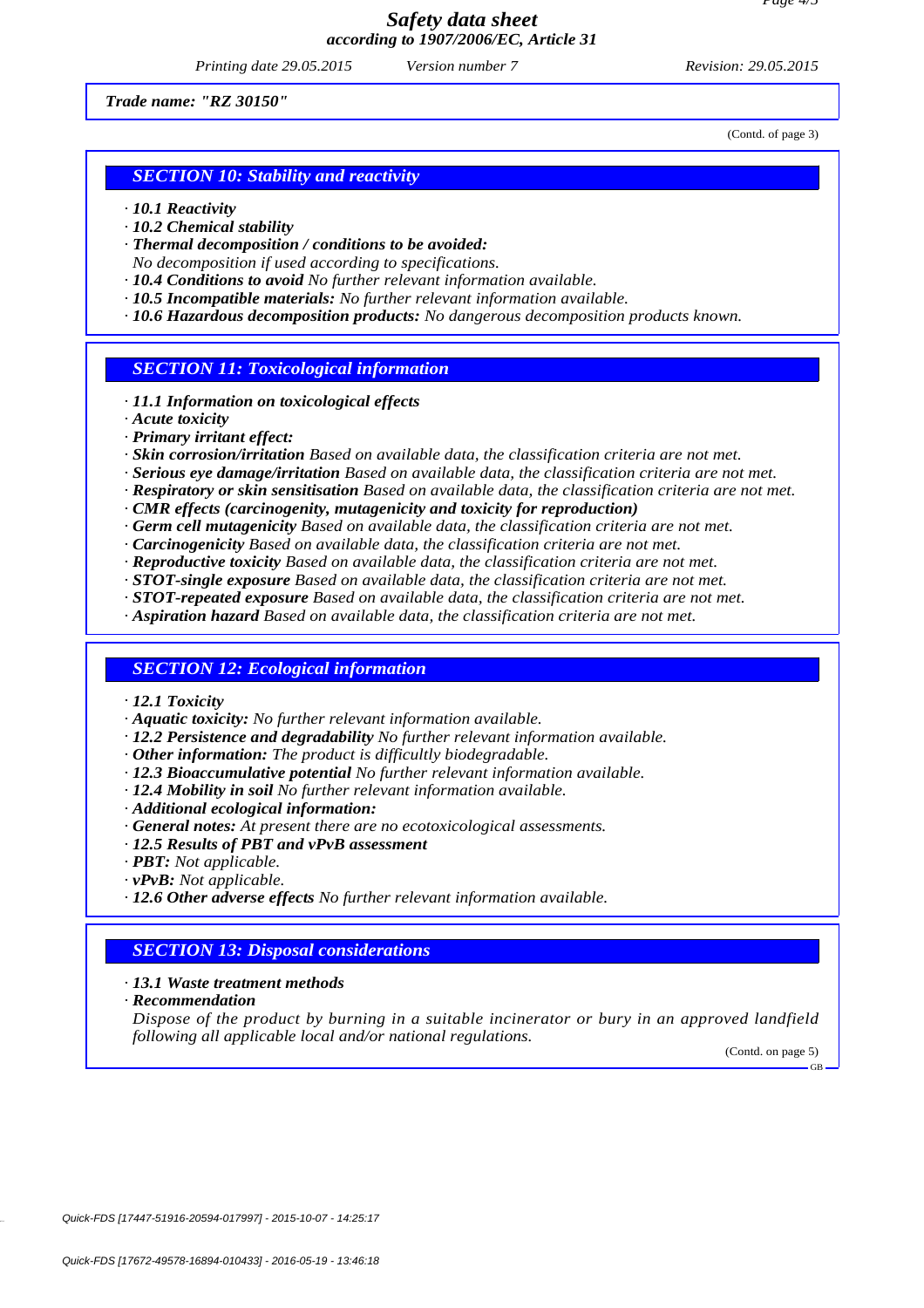*Printing date 29.05.2015 Revision: 29.05.2015 Version number 7*

*Trade name: "RZ 30150"*

*SECTION 10: Stability and reactivity*

- *· 10.1 Reactivity*
- *· 10.2 Chemical stability*
- *· Thermal decomposition / conditions to be avoided:*
- *No decomposition if used according to specifications.*
- *· 10.4 Conditions to avoid No further relevant information available.*
- *· 10.5 Incompatible materials: No further relevant information available.*
- *· 10.6 Hazardous decomposition products: No dangerous decomposition products known.*

*SECTION 11: Toxicological information*

- *· 11.1 Information on toxicological effects*
- *· Acute toxicity*
- *· Primary irritant effect:*
- *· Skin corrosion/irritation Based on available data, the classification criteria are not met.*
- *· Serious eye damage/irritation Based on available data, the classification criteria are not met.*
- *· Respiratory or skin sensitisation Based on available data, the classification criteria are not met.*
- *· CMR effects (carcinogenity, mutagenicity and toxicity for reproduction)*
- *· Germ cell mutagenicity Based on available data, the classification criteria are not met.*
- *· Carcinogenicity Based on available data, the classification criteria are not met.*
- *· Reproductive toxicity Based on available data, the classification criteria are not met.*
- *· STOT-single exposure Based on available data, the classification criteria are not met.*
- *· STOT-repeated exposure Based on available data, the classification criteria are not met.*
- *· Aspiration hazard Based on available data, the classification criteria are not met.*

#### *SECTION 12: Ecological information*

- *· 12.1 Toxicity*
- *· Aquatic toxicity: No further relevant information available.*
- *· 12.2 Persistence and degradability No further relevant information available.*
- *· Other information: The product is difficultly biodegradable.*
- *· 12.3 Bioaccumulative potential No further relevant information available.*
- *· 12.4 Mobility in soil No further relevant information available.*
- *· Additional ecological information:*
- *· General notes: At present there are no ecotoxicological assessments.*
- *· 12.5 Results of PBT and vPvB assessment*
- *· PBT: Not applicable.*
- *· vPvB: Not applicable.*
- *· 12.6 Other adverse effects No further relevant information available.*

#### *SECTION 13: Disposal considerations*

- *· 13.1 Waste treatment methods*
- *· Recommendation*

*Dispose of the product by burning in a suitable incinerator or bury in an approved landfield following all applicable local and/or national regulations.*

(Contd. on page 5)

GB

Quick-FDS [17447-51916-20594-017997] - 2015-10-07 - 14:25:17

(Contd. of page 3)